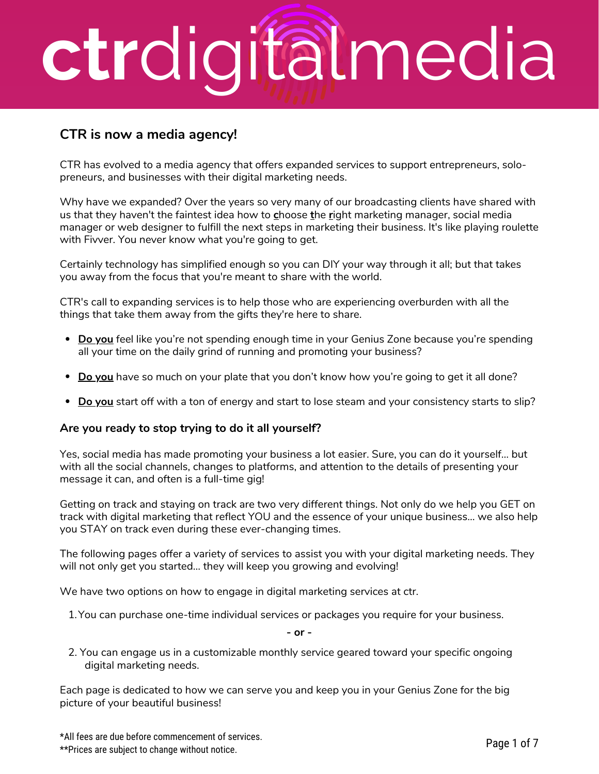## **ctr**digitalmedia

#### **CTR is now a media agency!**

CTR has evolved to a media agency that offers expanded services to support entrepreneurs, solopreneurs, and businesses with their digital marketing needs.

Why have we expanded? Over the years so very many of our broadcasting clients have shared with us that they haven't the faintest idea how to **c**hoose **t**he **r**ight marketing manager, social media manager or web designer to fulfill the next steps in marketing their business. It's like playing roulette with Fivver. You never know what you're going to get.

Certainly technology has simplified enough so you can DIY your way through it all; but that takes you away from the focus that you're meant to share with the world.

CTR's call to expanding services is to help those who are experiencing overburden with all the things that take them away from the gifts they're here to share.

- **Do you** feel like you're not spending enough time in your Genius Zone because you're spending all your time on the daily grind of running and promoting your business?
- **Do you** have so much on your plate that you don't know how you're going to get it all done?
- **Do you** start off with a ton of energy and start to lose steam and your consistency starts to slip?

#### **Are you ready to stop trying to do it all yourself?**

Yes, social media has made promoting your business a lot easier. Sure, you can do it yourself… but with all the social channels, changes to platforms, and attention to the details of presenting your message it can, and often is a full-time gig!

Getting on track and staying on track are two very different things. Not only do we help you GET on track with digital marketing that reflect YOU and the essence of your unique business… we also help you STAY on track even during these ever-changing times.

The following pages offer a variety of services to assist you with your digital marketing needs. They will not only get you started… they will keep you growing and evolving!

We have two options on how to engage in digital marketing services at ctr.

1. You can purchase one-time individual services or packages you require for your business.

**- or -**

2. You can engage us in a customizable monthly service geared toward your specific ongoing digital marketing needs.

Each page is dedicated to how we can serve you and keep you in your Genius Zone for the big picture of your beautiful business!

\*All fees are due before commencement of services. \*\*Prices are subject to change without notice.